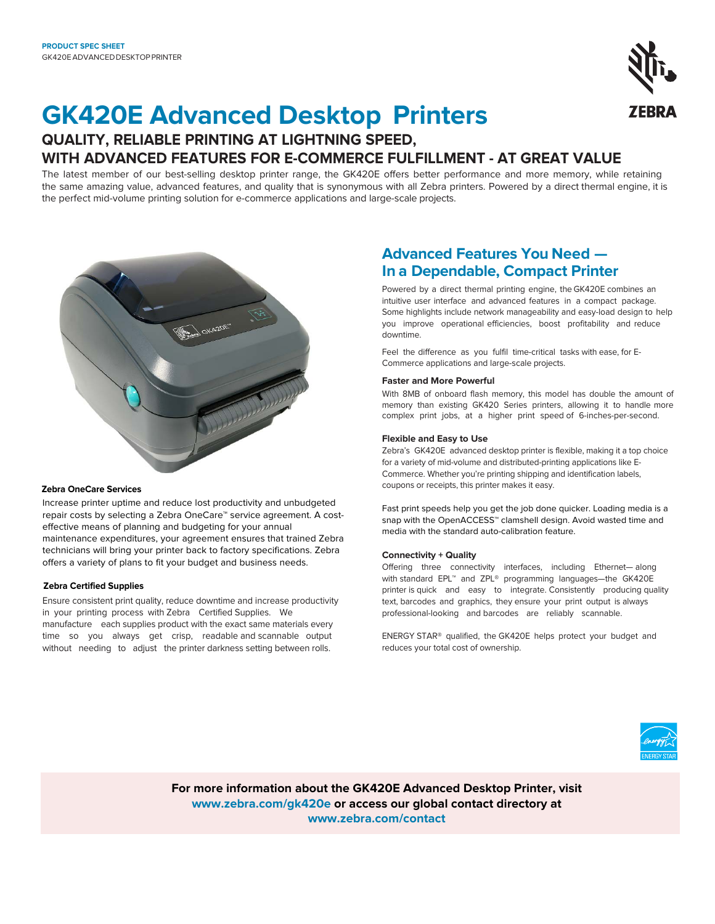

# **GK420E Advanced Desktop Printers**

# **QUALITY, RELIABLE PRINTING AT LIGHTNING SPEED, WITH ADVANCED FEATURES FOR E-COMMERCE FULFILLMENT - AT GREAT VALUE**

The latest member of our best-selling desktop printer range, the GK420E offers better performance and more memory, while retaining the same amazing value, advanced features, and quality that is synonymous with all Zebra printers. Powered by a direct thermal engine, it is the perfect mid-volume printing solution for e-commerce applications and large-scale projects.



#### **Zebra OneCare Services**

Increase printer uptime and reduce lost productivity and unbudgeted repair costs by selecting a Zebra OneCare™ service agreement. A costeffective means of planning and budgeting for your annual maintenance expenditures, your agreement ensures that trained Zebra technicians will bring your printer back to factory specifications. Zebra offers a variety of plans to fit your budget and business needs.

#### **Zebra Certified Supplies**

Ensure consistent print quality, reduce downtime and increase productivity in your printing process with Zebra Certified Supplies. We manufacture each supplies product with the exact same materials every time so you always get crisp, readable and scannable output without needing to adjust the printer darkness setting between rolls.

# **Advanced Features You Need — In a Dependable, Compact Printer**

Powered by a direct thermal printing engine, the GK420E combines an intuitive user interface and advanced features in a compact package. Some highlights include network manageability and easy-load design to help you improve operational efficiencies, boost profitability and reduce downtime.

Feel the difference as you fulfil time-critical tasks with ease, for E-Commerce applications and large-scale projects.

#### **Faster and More Powerful**

With 8MB of onboard flash memory, this model has double the amount of memory than existing GK420 Series printers, allowing it to handle more complex print jobs, at a higher print speed of 6-inches-per-second.

#### **Flexible and Easy to Use**

Zebra's GK420E advanced desktop printer is flexible, making it a top choice for a variety of mid-volume and distributed-printing applications like E-Commerce. Whether you're printing shipping and identification labels, coupons or receipts, this printer makes it easy.

Fast print speeds help you get the job done quicker. Loading media is a snap with the OpenACCESS<sup>™</sup> clamshell design. Avoid wasted time and media with the standard auto-calibration feature.

#### **Connectivity + Quality**

Offering three connectivity interfaces, including Ethernet— along with standard EPL™ and ZPL® programming languages-the GK420E printer is quick and easy to integrate. Consistently producing quality text, barcodes and graphics, they ensure your print output is always professional-looking and barcodes are reliably scannable.

ENERGY STAR® qualified, the GK420E helps protect your budget and reduces your total cost of ownership.



**For more information about the GK420E Advanced Desktop Printer, visit www.zebra.com/gk420e or access our global contact directory at [www.zebra.com/contact](https://www.zebra.com/us/en/about-zebra/contact-us/contact-zebra.html)**